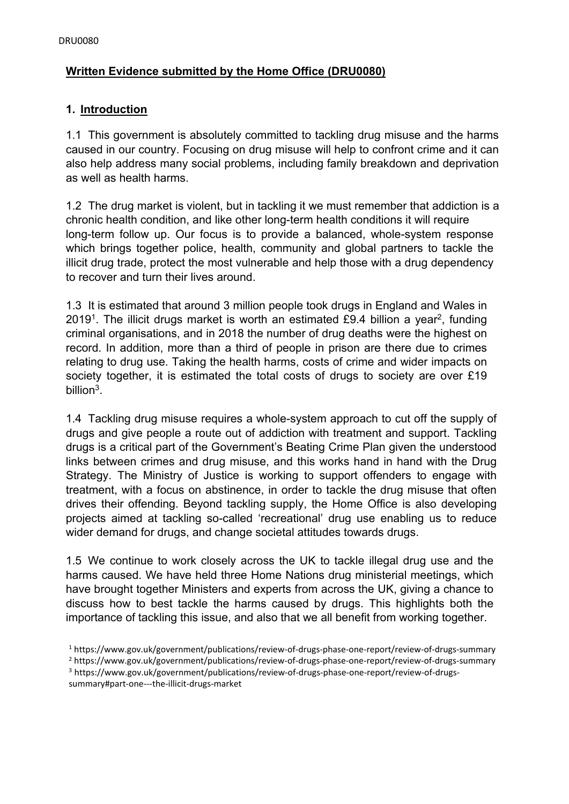## **Written Evidence submitted by the Home Office (DRU0080)**

#### **1. Introduction**

1.1 This government is absolutely committed to tackling drug misuse and the harms caused in our country. Focusing on drug misuse will help to confront crime and it can also help address many social problems, including family breakdown and deprivation as well as health harms.

1.2 The drug market is violent, but in tackling it we must remember that addiction is a chronic health condition, and like other long-term health conditions it will require long-term follow up. Our focus is to provide a balanced, whole-system response which brings together police, health, community and global partners to tackle the illicit drug trade, protect the most vulnerable and help those with a drug dependency to recover and turn their lives around.

1.3 It is estimated that around 3 million people took drugs in England and Wales in 2019<sup>1</sup>. The illicit drugs market is worth an estimated £9.4 billion a year<sup>2</sup>, funding criminal organisations, and in 2018 the number of drug deaths were the highest on record. In addition, more than a third of people in prison are there due to crimes relating to drug use. Taking the health harms, costs of crime and wider impacts on society together, it is estimated the total costs of drugs to society are over £19 billion<sup>3</sup>.

1.4 Tackling drug misuse requires a whole-system approach to cut off the supply of drugs and give people a route out of addiction with treatment and support. Tackling drugs is a critical part of the Government's Beating Crime Plan given the understood links between crimes and drug misuse, and this works hand in hand with the Drug Strategy. The Ministry of Justice is working to support offenders to engage with treatment, with a focus on abstinence, in order to tackle the drug misuse that often drives their offending. Beyond tackling supply, the Home Office is also developing projects aimed at tackling so-called 'recreational' drug use enabling us to reduce wider demand for drugs, and change societal attitudes towards drugs.

1.5 We continue to work closely across the UK to tackle illegal drug use and the harms caused. We have held three Home Nations drug ministerial meetings, which have brought together Ministers and experts from across the UK, giving a chance to discuss how to best tackle the harms caused by drugs. This highlights both the importance of tackling this issue, and also that we all benefit from working together.

<sup>1</sup> https:[//www.gov.uk/government/publications/review-of-drugs-phase-one-report/review-of-drugs-summary](http://www.gov.uk/government/publications/review-of-drugs-phase-one-report/review-of-drugs-summary) <sup>2</sup> https:[//www.gov.uk/government/publications/review-of-drugs-phase-one-report/review-of-drugs-summary](http://www.gov.uk/government/publications/review-of-drugs-phase-one-report/review-of-drugs-summary) <sup>3</sup> https:/[/www.gov.uk/government/publications/review-of-drugs-phase-one-report/review-of-drugs](http://www.gov.uk/government/publications/review-of-drugs-phase-one-report/review-of-drugs-)summary#part-one---the-illicit-drugs-market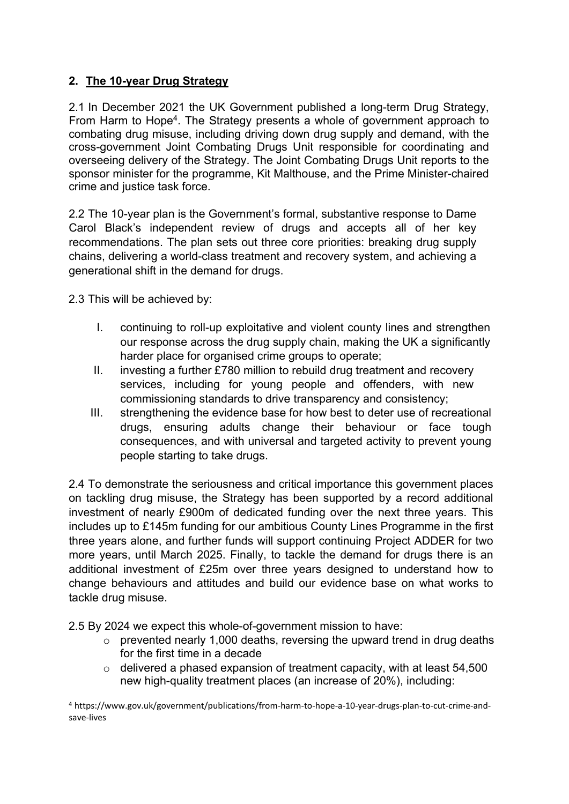## **2. The 10-year Drug Strategy**

2.1 In December 2021 the UK Government published a long-term Drug Strategy, From Harm to Hope<sup>4</sup>. The Strategy presents a whole of government approach to combating drug misuse, including driving down drug supply and demand, with the cross-government Joint Combating Drugs Unit responsible for coordinating and overseeing delivery of the Strategy. The Joint Combating Drugs Unit reports to the sponsor minister for the programme, Kit Malthouse, and the Prime Minister-chaired crime and justice task force.

2.2 The 10-year plan is the Government's formal, substantive response to Dame Carol Black's independent review of drugs and accepts all of her key recommendations. The plan sets out three core priorities: breaking drug supply chains, delivering a world-class treatment and recovery system, and achieving a generational shift in the demand for drugs.

2.3 This will be achieved by:

- I. continuing to roll-up exploitative and violent county lines and strengthen our response across the drug supply chain, making the UK a significantly harder place for organised crime groups to operate;
- II. investing a further £780 million to rebuild drug treatment and recovery services, including for young people and offenders, with new commissioning standards to drive transparency and consistency;
- III. strengthening the evidence base for how best to deter use of recreational drugs, ensuring adults change their behaviour or face tough consequences, and with universal and targeted activity to prevent young people starting to take drugs.

2.4 To demonstrate the seriousness and critical importance this government places on tackling drug misuse, the Strategy has been supported by a record additional investment of nearly £900m of dedicated funding over the next three years. This includes up to £145m funding for our ambitious County Lines Programme in the first three years alone, and further funds will support continuing Project ADDER for two more years, until March 2025. Finally, to tackle the demand for drugs there is an additional investment of £25m over three years designed to understand how to change behaviours and attitudes and build our evidence base on what works to tackle drug misuse.

2.5 By 2024 we expect this whole-of-government mission to have:

- $\circ$  prevented nearly 1,000 deaths, reversing the upward trend in drug deaths for the first time in a decade
- $\circ$  delivered a phased expansion of treatment capacity, with at least 54,500 new high-quality treatment places (an increase of 20%), including:

<sup>4</sup> https:/[/www.gov.uk/government/publications/from-harm-to-hope-a-10-year-drugs-plan-to-cut-crime-and](http://www.gov.uk/government/publications/from-harm-to-hope-a-10-year-drugs-plan-to-cut-crime-and-)save-lives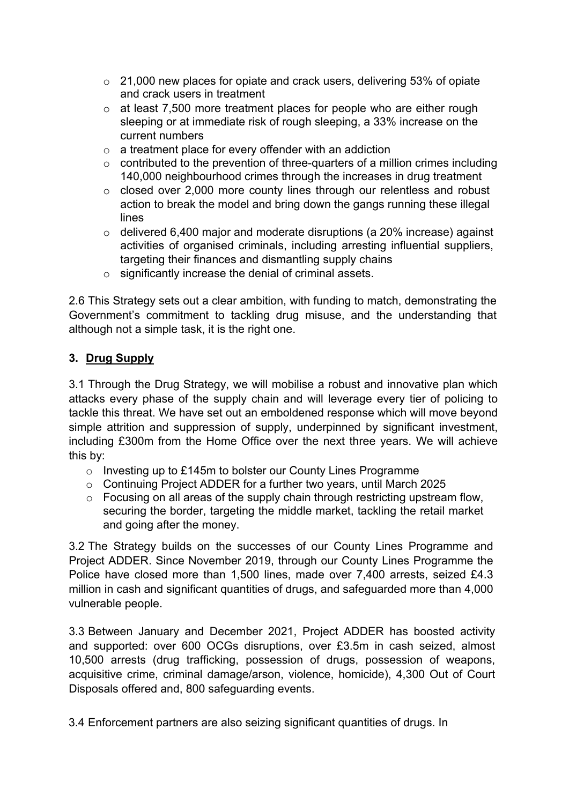- o 21,000 new places for opiate and crack users, delivering 53% of opiate and crack users in treatment
- o at least 7,500 more treatment places for people who are either rough sleeping or at immediate risk of rough sleeping, a 33% increase on the current numbers
- $\circ$  a treatment place for every offender with an addiction
- $\circ$  contributed to the prevention of three-quarters of a million crimes including 140,000 neighbourhood crimes through the increases in drug treatment
- o closed over 2,000 more county lines through our relentless and robust action to break the model and bring down the gangs running these illegal lines
- o delivered 6,400 major and moderate disruptions (a 20% increase) against activities of organised criminals, including arresting influential suppliers, targeting their finances and dismantling supply chains
- o significantly increase the denial of criminal assets.

2.6 This Strategy sets out a clear ambition, with funding to match, demonstrating the Government's commitment to tackling drug misuse, and the understanding that although not a simple task, it is the right one.

### **3. Drug Supply**

3.1 Through the Drug Strategy, we will mobilise a robust and innovative plan which attacks every phase of the supply chain and will leverage every tier of policing to tackle this threat. We have set out an emboldened response which will move beyond simple attrition and suppression of supply, underpinned by significant investment, including £300m from the Home Office over the next three years. We will achieve this by:

- o Investing up to £145m to bolster our County Lines Programme
- $\circ$  Continuing Project ADDER for a further two years, until March 2025
- o Focusing on all areas of the supply chain through restricting upstream flow, securing the border, targeting the middle market, tackling the retail market and going after the money.

3.2 The Strategy builds on the successes of our County Lines Programme and Project ADDER. Since November 2019, through our County Lines Programme the Police have closed more than 1,500 lines, made over 7,400 arrests, seized £4.3 million in cash and significant quantities of drugs, and safeguarded more than 4,000 vulnerable people.

3.3 Between January and December 2021, Project ADDER has boosted activity and supported: over 600 OCGs disruptions, over £3.5m in cash seized, almost 10,500 arrests (drug trafficking, possession of drugs, possession of weapons, acquisitive crime, criminal damage/arson, violence, homicide), 4,300 Out of Court Disposals offered and, 800 safeguarding events.

3.4 Enforcement partners are also seizing significant quantities of drugs. In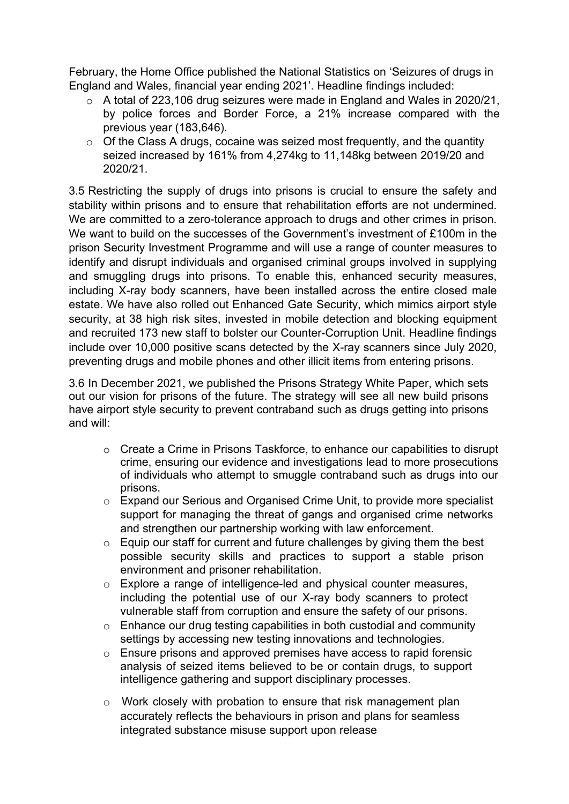February, the Home Office published the National Statistics on 'Seizures of drugs in England and Wales, financial year ending 2021'. Headline findings included:

- o A total of 223,106 drug seizures were made in England and Wales in 2020/21, by police forces and Border Force, a 21% increase compared with the previous year (183,646).
- $\circ$  Of the Class A drugs, cocaine was seized most frequently, and the quantity seized increased by 161% from 4,274kg to 11,148kg between 2019/20 and 2020/21.

3.5 Restricting the supply of drugs into prisons is crucial to ensure the safety and stability within prisons and to ensure that rehabilitation efforts are not undermined. We are committed to a zero-tolerance approach to drugs and other crimes in prison. We want to build on the successes of the Government's investment of £100m in the prison Security Investment Programme and will use a range of counter measures to identify and disrupt individuals and organised criminal groups involved in supplying and smuggling drugs into prisons. To enable this, enhanced security measures, including X-ray body scanners, have been installed across the entire closed male estate. We have also rolled out Enhanced Gate Security, which mimics airport style security, at 38 high risk sites, invested in mobile detection and blocking equipment and recruited 173 new staff to bolster our Counter-Corruption Unit. Headline findings include over 10,000 positive scans detected by the X-ray scanners since July 2020, preventing drugs and mobile phones and other illicit items from entering prisons.

3.6 In December 2021, we published the Prisons Strategy White Paper, which sets out our vision for prisons of the future. The strategy will see all new build prisons have airport style security to prevent contraband such as drugs getting into prisons and will:

- o Create a Crime in Prisons Taskforce, to enhance our capabilities to disrupt crime, ensuring our evidence and investigations lead to more prosecutions of individuals who attempt to smuggle contraband such as drugs into our prisons.
- o Expand our Serious and Organised Crime Unit, to provide more specialist support for managing the threat of gangs and organised crime networks and strengthen our partnership working with law enforcement.
- $\circ$  Equip our staff for current and future challenges by giving them the best possible security skills and practices to support a stable prison environment and prisoner rehabilitation.
- o Explore a range of intelligence-led and physical counter measures, including the potential use of our X-ray body scanners to protect vulnerable staff from corruption and ensure the safety of our prisons.
- o Enhance our drug testing capabilities in both custodial and community settings by accessing new testing innovations and technologies.
- o Ensure prisons and approved premises have access to rapid forensic analysis of seized items believed to be or contain drugs, to support intelligence gathering and support disciplinary processes.
- o Work closely with probation to ensure that risk management plan accurately reflects the behaviours in prison and plans for seamless integrated substance misuse support upon release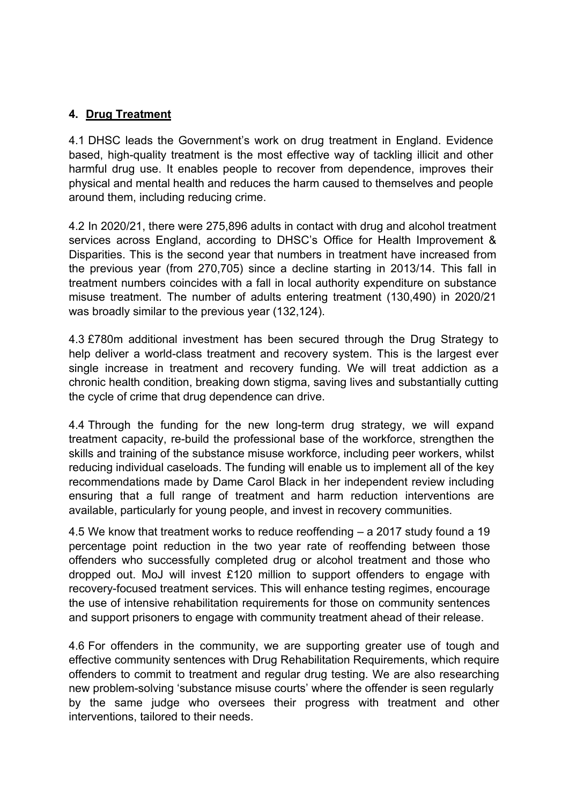### **4. Drug Treatment**

4.1 DHSC leads the Government's work on drug treatment in England. Evidence based, high-quality treatment is the most effective way of tackling illicit and other harmful drug use. It enables people to recover from dependence, improves their physical and mental health and reduces the harm caused to themselves and people around them, including reducing crime.

4.2 In 2020/21, there were 275,896 adults in contact with drug and alcohol treatment services across England, according to DHSC's Office for Health Improvement & Disparities. This is the second year that numbers in treatment have increased from the previous year (from 270,705) since a decline starting in 2013/14. This fall in treatment numbers coincides with a fall in local authority expenditure on substance misuse treatment. The number of adults entering treatment (130,490) in 2020/21 was broadly similar to the previous year (132,124).

4.3 £780m additional investment has been secured through the Drug Strategy to help deliver a world-class treatment and recovery system. This is the largest ever single increase in treatment and recovery funding. We will treat addiction as a chronic health condition, breaking down stigma, saving lives and substantially cutting the cycle of crime that drug dependence can drive.

4.4 Through the funding for the new long-term drug strategy, we will expand treatment capacity, re-build the professional base of the workforce, strengthen the skills and training of the substance misuse workforce, including peer workers, whilst reducing individual caseloads. The funding will enable us to implement all of the key recommendations made by Dame Carol Black in her independent review including ensuring that a full range of treatment and harm reduction interventions are available, particularly for young people, and invest in recovery communities.

4.5 We know that treatment works to reduce reoffending – a 2017 study found a 19 percentage point reduction in the two year rate of reoffending between those offenders who successfully completed drug or alcohol treatment and those who dropped out. MoJ will invest £120 million to support offenders to engage with recovery-focused treatment services. This will enhance testing regimes, encourage the use of intensive rehabilitation requirements for those on community sentences and support prisoners to engage with community treatment ahead of their release.

4.6 For offenders in the community, we are supporting greater use of tough and effective community sentences with Drug Rehabilitation Requirements, which require offenders to commit to treatment and regular drug testing. We are also researching new problem-solving 'substance misuse courts' where the offender is seen regularly by the same judge who oversees their progress with treatment and other interventions, tailored to their needs.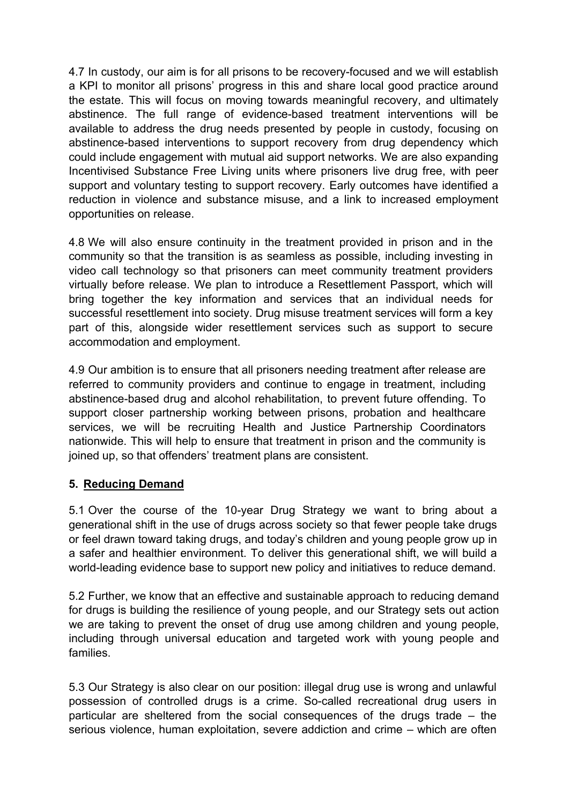4.7 In custody, our aim is for all prisons to be recovery-focused and we will establish a KPI to monitor all prisons' progress in this and share local good practice around the estate. This will focus on moving towards meaningful recovery, and ultimately abstinence. The full range of evidence-based treatment interventions will be available to address the drug needs presented by people in custody, focusing on abstinence-based interventions to support recovery from drug dependency which could include engagement with mutual aid support networks. We are also expanding Incentivised Substance Free Living units where prisoners live drug free, with peer support and voluntary testing to support recovery. Early outcomes have identified a reduction in violence and substance misuse, and a link to increased employment opportunities on release.

4.8 We will also ensure continuity in the treatment provided in prison and in the community so that the transition is as seamless as possible, including investing in video call technology so that prisoners can meet community treatment providers virtually before release. We plan to introduce a Resettlement Passport, which will bring together the key information and services that an individual needs for successful resettlement into society. Drug misuse treatment services will form a key part of this, alongside wider resettlement services such as support to secure accommodation and employment.

4.9 Our ambition is to ensure that all prisoners needing treatment after release are referred to community providers and continue to engage in treatment, including abstinence-based drug and alcohol rehabilitation, to prevent future offending. To support closer partnership working between prisons, probation and healthcare services, we will be recruiting Health and Justice Partnership Coordinators nationwide. This will help to ensure that treatment in prison and the community is joined up, so that offenders' treatment plans are consistent.

### **5. Reducing Demand**

5.1 Over the course of the 10-year Drug Strategy we want to bring about a generational shift in the use of drugs across society so that fewer people take drugs or feel drawn toward taking drugs, and today's children and young people grow up in a safer and healthier environment. To deliver this generational shift, we will build a world-leading evidence base to support new policy and initiatives to reduce demand.

5.2 Further, we know that an effective and sustainable approach to reducing demand for drugs is building the resilience of young people, and our Strategy sets out action we are taking to prevent the onset of drug use among children and young people, including through universal education and targeted work with young people and families.

5.3 Our Strategy is also clear on our position: illegal drug use is wrong and unlawful possession of controlled drugs is a crime. So-called recreational drug users in particular are sheltered from the social consequences of the drugs trade – the serious violence, human exploitation, severe addiction and crime – which are often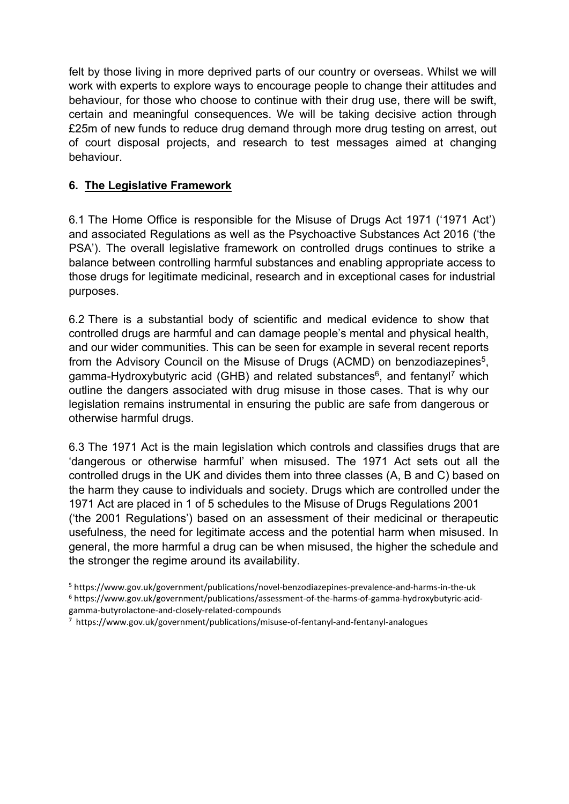felt by those living in more deprived parts of our country or overseas. Whilst we will work with experts to explore ways to encourage people to change their attitudes and behaviour, for those who choose to continue with their drug use, there will be swift, certain and meaningful consequences. We will be taking decisive action through £25m of new funds to reduce drug demand through more drug testing on arrest, out of court disposal projects, and research to test messages aimed at changing behaviour.

## **6. The Legislative Framework**

6.1 The Home Office is responsible for the Misuse of Drugs Act 1971 ('1971 Act') and associated Regulations as well as the Psychoactive Substances Act 2016 ('the PSA'). The overall legislative framework on controlled drugs continues to strike a balance between controlling harmful substances and enabling appropriate access to those drugs for legitimate medicinal, research and in exceptional cases for industrial purposes.

6.2 There is a substantial body of scientific and medical evidence to show that controlled drugs are harmful and can damage people's mental and physical health, and our wider communities. This can be seen for example in several recent reports from the Advisory Council on the Misuse of Drugs (ACMD) on benzodiazepines<sup>5</sup>, gamma-Hydroxybutyric acid (GHB) and related substances<sup>6</sup>, and fentanyl<sup>7</sup> which outline the dangers associated with drug misuse in those cases. That is why our legislation remains instrumental in ensuring the public are safe from dangerous or otherwise harmful drugs.

6.3 The 1971 Act is the main legislation which controls and classifies drugs that are 'dangerous or otherwise harmful' when misused. The 1971 Act sets out all the controlled drugs in the UK and divides them into three classes (A, B and C) based on the harm they cause to individuals and society. Drugs which are controlled under the 1971 Act are placed in 1 of 5 schedules to the Misuse of Drugs Regulations 2001 ('the 2001 Regulations') based on an assessment of their medicinal or therapeutic usefulness, the need for legitimate access and the potential harm when misused. In general, the more harmful a drug can be when misused, the higher the schedule and the stronger the regime around its availability.

<sup>5</sup> https:[//www.gov.uk/government/publications/novel-benzodiazepines-prevalence-and-harms-in-the-uk](http://www.gov.uk/government/publications/novel-benzodiazepines-prevalence-and-harms-in-the-uk) <sup>6</sup> https:[//www.gov.uk/government/publications/assessment-of-the-harms-of-gamma-hydroxybutyric-acid](http://www.gov.uk/government/publications/assessment-of-the-harms-of-gamma-hydroxybutyric-acid-)gamma-butyrolactone-and-closely-related-compounds

<sup>7</sup> https:[//www.gov.uk/government/publications/misuse-of-fentanyl-and-fentanyl-analogues](http://www.gov.uk/government/publications/misuse-of-fentanyl-and-fentanyl-analogues)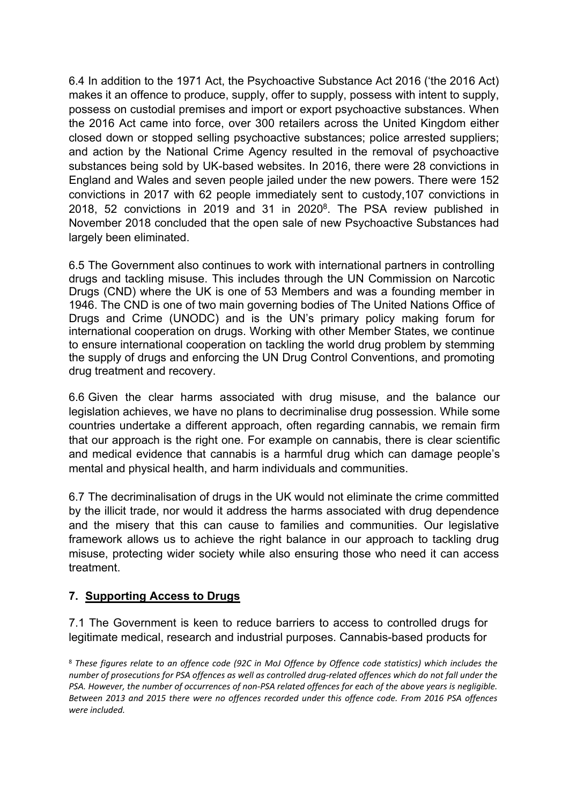6.4 In addition to the 1971 Act, the Psychoactive Substance Act 2016 ('the 2016 Act) makes it an offence to produce, supply, offer to supply, possess with intent to supply, possess on custodial premises and import or export psychoactive substances. When the 2016 Act came into force, over 300 retailers across the United Kingdom either closed down or stopped selling psychoactive substances; police arrested suppliers; and action by the National Crime Agency resulted in the removal of psychoactive substances being sold by UK-based websites. In 2016, there were 28 convictions in England and Wales and seven people jailed under the new powers. There were 152 convictions in 2017 with 62 people immediately sent to custody,107 convictions in 2018, 52 convictions in 2019 and 31 in 2020<sup>8</sup>. The PSA review published in November 2018 concluded that the open sale of new Psychoactive Substances had largely been eliminated.

6.5 The Government also continues to work with international partners in controlling drugs and tackling misuse. This includes through the UN Commission on Narcotic Drugs (CND) where the UK is one of 53 Members and was a founding member in 1946. The CND is one of two main governing bodies of The United Nations Office of Drugs and Crime (UNODC) and is the UN's primary policy making forum for international cooperation on drugs. Working with other Member States, we continue to ensure international cooperation on tackling the world drug problem by stemming the supply of drugs and enforcing the UN Drug Control Conventions, and promoting drug treatment and recovery.

6.6 Given the clear harms associated with drug misuse, and the balance our legislation achieves, we have no plans to decriminalise drug possession. While some countries undertake a different approach, often regarding cannabis, we remain firm that our approach is the right one. For example on cannabis, there is clear scientific and medical evidence that cannabis is a harmful drug which can damage people's mental and physical health, and harm individuals and communities.

6.7 The decriminalisation of drugs in the UK would not eliminate the crime committed by the illicit trade, nor would it address the harms associated with drug dependence and the misery that this can cause to families and communities. Our legislative framework allows us to achieve the right balance in our approach to tackling drug misuse, protecting wider society while also ensuring those who need it can access treatment.

### **7. Supporting Access to Drugs**

7.1 The Government is keen to reduce barriers to access to controlled drugs for legitimate medical, research and industrial purposes. Cannabis-based products for

<sup>&</sup>lt;sup>8</sup> These figures relate to an offence code (92C in MoJ Offence by Offence code statistics) which includes the number of prosecutions for PSA offences as well as controlled drug-related offences which do not fall under the PSA. However, the number of occurrences of non-PSA related offences for each of the above years is negligible. *Between 2013 and 2015 there were no offences recorded under this offence code. From 2016 PSA offences were included.*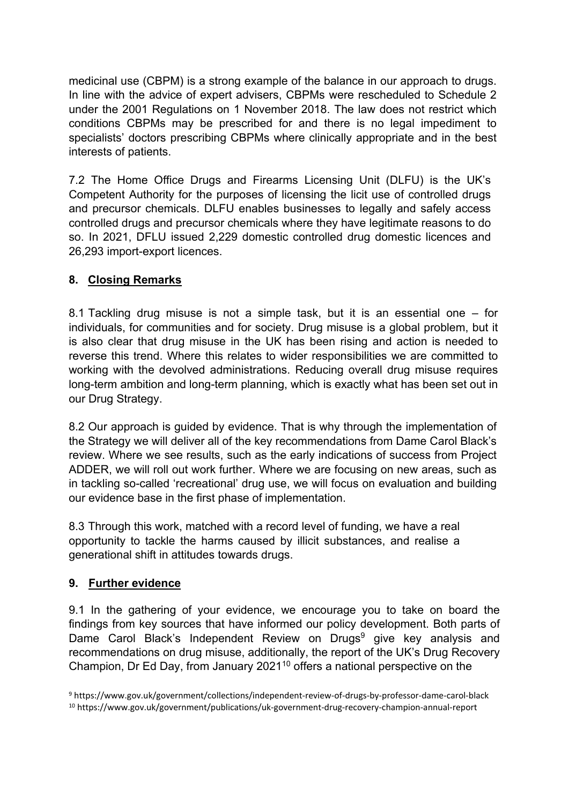medicinal use (CBPM) is a strong example of the balance in our approach to drugs. In line with the advice of expert advisers, CBPMs were rescheduled to Schedule 2 under the 2001 Regulations on 1 November 2018. The law does not restrict which conditions CBPMs may be prescribed for and there is no legal impediment to specialists' doctors prescribing CBPMs where clinically appropriate and in the best interests of patients.

7.2 The Home Office Drugs and Firearms Licensing Unit (DLFU) is the UK's Competent Authority for the purposes of licensing the licit use of controlled drugs and precursor chemicals. DLFU enables businesses to legally and safely access controlled drugs and precursor chemicals where they have legitimate reasons to do so. In 2021, DFLU issued 2,229 domestic controlled drug domestic licences and 26,293 import-export licences.

# **8. Closing Remarks**

8.1 Tackling drug misuse is not a simple task, but it is an essential one – for individuals, for communities and for society. Drug misuse is a global problem, but it is also clear that drug misuse in the UK has been rising and action is needed to reverse this trend. Where this relates to wider responsibilities we are committed to working with the devolved administrations. Reducing overall drug misuse requires long-term ambition and long-term planning, which is exactly what has been set out in our Drug Strategy.

8.2 Our approach is guided by evidence. That is why through the implementation of the Strategy we will deliver all of the key recommendations from Dame Carol Black's review. Where we see results, such as the early indications of success from Project ADDER, we will roll out work further. Where we are focusing on new areas, such as in tackling so-called 'recreational' drug use, we will focus on evaluation and building our evidence base in the first phase of implementation.

8.3 Through this work, matched with a record level of funding, we have a real opportunity to tackle the harms caused by illicit substances, and realise a generational shift in attitudes towards drugs.

### **9. Further evidence**

9.1 In the gathering of your evidence, we encourage you to take on board the findings from key sources that have informed our policy development. Both parts of Dame Carol Black's Independent Review on Drugs<sup>9</sup> give key analysis and recommendations on drug misuse, additionally, the report of the UK's Drug Recovery Champion, Dr Ed Day, from January 2021<sup>10</sup> offers a national perspective on the

<sup>9</sup> https:[//www.gov.uk/government/collections/independent-review-of-drugs-by-professor-dame-carol-black](http://www.gov.uk/government/collections/independent-review-of-drugs-by-professor-dame-carol-black) <sup>10</sup> https:/[/www.gov.uk/government/publications/uk-government-drug-recovery-champion-annual-report](http://www.gov.uk/government/publications/uk-government-drug-recovery-champion-annual-report)